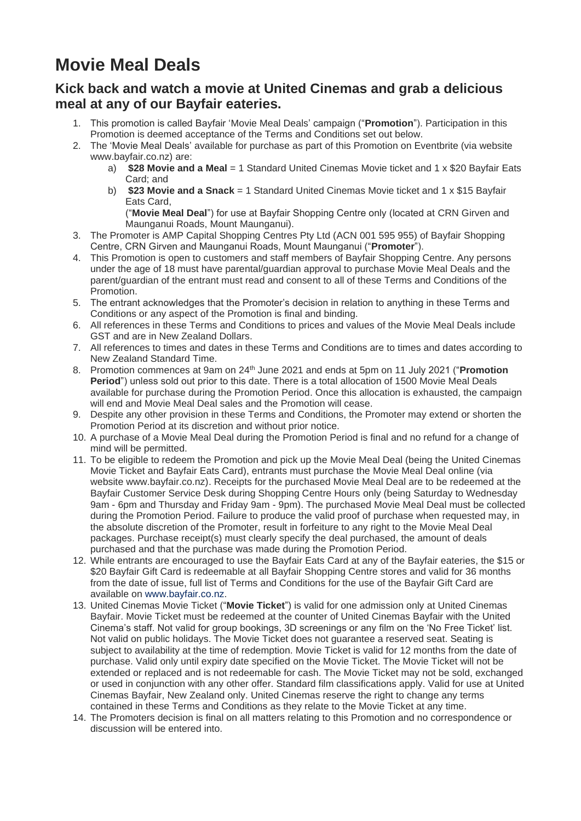## **Movie Meal Deals**

## **Kick back and watch a movie at United Cinemas and grab a delicious meal at any of our Bayfair eateries.**

- 1. This promotion is called Bayfair 'Movie Meal Deals' campaign ("**Promotion**"). Participation in this Promotion is deemed acceptance of the Terms and Conditions set out below.
- 2. The 'Movie Meal Deals' available for purchase as part of this Promotion on Eventbrite (via website www.bayfair.co.nz) are:
	- a) **\$28 Movie and a Meal** = 1 Standard United Cinemas Movie ticket and 1 x \$20 Bayfair Eats Card; and
	- b) **\$23 Movie and a Snack** = 1 Standard United Cinemas Movie ticket and 1 x \$15 Bayfair Eats Card,

("**Movie Meal Deal**") for use at Bayfair Shopping Centre only (located at CRN Girven and Maunganui Roads, Mount Maunganui).

- 3. The Promoter is AMP Capital Shopping Centres Pty Ltd (ACN 001 595 955) of Bayfair Shopping Centre, CRN Girven and Maunganui Roads, Mount Maunganui ("**Promoter**").
- 4. This Promotion is open to customers and staff members of Bayfair Shopping Centre. Any persons under the age of 18 must have parental/guardian approval to purchase Movie Meal Deals and the parent/guardian of the entrant must read and consent to all of these Terms and Conditions of the Promotion.
- 5. The entrant acknowledges that the Promoter's decision in relation to anything in these Terms and Conditions or any aspect of the Promotion is final and binding.
- 6. All references in these Terms and Conditions to prices and values of the Movie Meal Deals include GST and are in New Zealand Dollars.
- 7. All references to times and dates in these Terms and Conditions are to times and dates according to New Zealand Standard Time.
- 8. Promotion commences at 9am on 24th June 2021 and ends at 5pm on 11 July 2021 ("**Promotion Period**") unless sold out prior to this date. There is a total allocation of 1500 Movie Meal Deals available for purchase during the Promotion Period. Once this allocation is exhausted, the campaign will end and Movie Meal Deal sales and the Promotion will cease.
- 9. Despite any other provision in these Terms and Conditions, the Promoter may extend or shorten the Promotion Period at its discretion and without prior notice.
- 10. A purchase of a Movie Meal Deal during the Promotion Period is final and no refund for a change of mind will be permitted.
- 11. To be eligible to redeem the Promotion and pick up the Movie Meal Deal (being the United Cinemas Movie Ticket and Bayfair Eats Card), entrants must purchase the Movie Meal Deal online (via website www.bayfair.co.nz). Receipts for the purchased Movie Meal Deal are to be redeemed at the Bayfair Customer Service Desk during Shopping Centre Hours only (being Saturday to Wednesday 9am - 6pm and Thursday and Friday 9am - 9pm). The purchased Movie Meal Deal must be collected during the Promotion Period. Failure to produce the valid proof of purchase when requested may, in the absolute discretion of the Promoter, result in forfeiture to any right to the Movie Meal Deal packages. Purchase receipt(s) must clearly specify the deal purchased, the amount of deals purchased and that the purchase was made during the Promotion Period.
- 12. While entrants are encouraged to use the Bayfair Eats Card at any of the Bayfair eateries, the \$15 or \$20 Bayfair Gift Card is redeemable at all Bayfair Shopping Centre stores and valid for 36 months from the date of issue, full list of Terms and Conditions for the use of the Bayfair Gift Card are available on [www.bayfair.co.nz.](http://www.bayfair.co.nz/)
- 13. United Cinemas Movie Ticket ("**Movie Ticket**") is valid for one admission only at United Cinemas Bayfair. Movie Ticket must be redeemed at the counter of United Cinemas Bayfair with the United Cinema's staff. Not valid for group bookings, 3D screenings or any film on the 'No Free Ticket' list. Not valid on public holidays. The Movie Ticket does not guarantee a reserved seat. Seating is subject to availability at the time of redemption. Movie Ticket is valid for 12 months from the date of purchase. Valid only until expiry date specified on the Movie Ticket. The Movie Ticket will not be extended or replaced and is not redeemable for cash. The Movie Ticket may not be sold, exchanged or used in conjunction with any other offer. Standard film classifications apply. Valid for use at United Cinemas Bayfair, New Zealand only. United Cinemas reserve the right to change any terms contained in these Terms and Conditions as they relate to the Movie Ticket at any time.
- 14. The Promoters decision is final on all matters relating to this Promotion and no correspondence or discussion will be entered into.